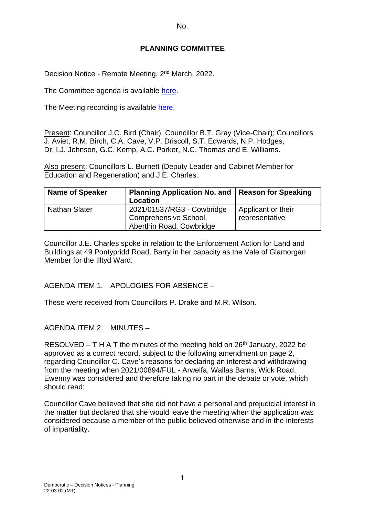No.

### **PLANNING COMMITTEE**

Decision Notice - Remote Meeting, 2<sup>nd</sup> March, 2022.

The Committee agenda is available [here.](https://www.valeofglamorgan.gov.uk/en/our_council/Council-Structure/minutes,_agendas_and_reports/agendas/planning/2022/22-03-02.aspx)

The Meeting recording is available [here.](https://www.youtube.com/watch?v=xjR0x-bOYyI&list=PLzt4i14pgqIEYTpGwpnqhxqyIIskR95ke&index=1&t=7s)

Present: Councillor J.C. Bird (Chair); Councillor B.T. Gray (Vice-Chair); Councillors J. Aviet, R.M. Birch, C.A. Cave, V.P. Driscoll, S.T. Edwards, N.P. Hodges, Dr. I.J. Johnson, G.C. Kemp, A.C. Parker, N.C. Thomas and E. Williams.

Also present: Councillors L. Burnett (Deputy Leader and Cabinet Member for Education and Regeneration) and J.E. Charles.

| <b>Name of Speaker</b> | Planning Application No. and   Reason for Speaking<br>Location |                    |
|------------------------|----------------------------------------------------------------|--------------------|
| <b>Nathan Slater</b>   | 2021/01537/RG3 - Cowbridge                                     | Applicant or their |
|                        | Comprehensive School,                                          | representative     |
|                        | Aberthin Road, Cowbridge                                       |                    |

Councillor J.E. Charles spoke in relation to the Enforcement Action for Land and Buildings at 49 Pontypridd Road, Barry in her capacity as the Vale of Glamorgan Member for the Illtyd Ward.

AGENDA ITEM 1. APOLOGIES FOR ABSENCE –

These were received from Councillors P. Drake and M.R. Wilson.

## AGENDA ITEM 2. MINUTES –

RESOLVED – T H A T the minutes of the meeting held on  $26<sup>th</sup>$  January, 2022 be approved as a correct record, subject to the following amendment on page 2, regarding Councillor C. Cave's reasons for declaring an interest and withdrawing from the meeting when 2021/00894/FUL - Arwelfa, Wallas Barns, Wick Road, Ewenny was considered and therefore taking no part in the debate or vote, which should read:

Councillor Cave believed that she did not have a personal and prejudicial interest in the matter but declared that she would leave the meeting when the application was considered because a member of the public believed otherwise and in the interests of impartiality.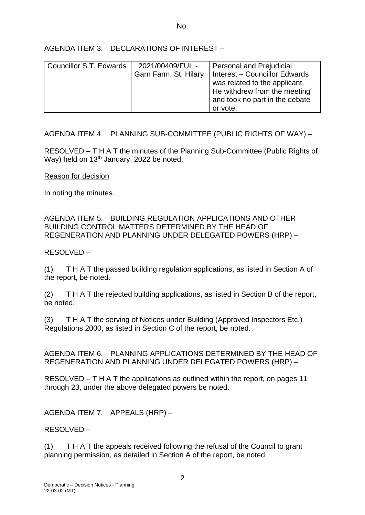No.

AGENDA ITEM 3. DECLARATIONS OF INTEREST –

| Councillor S.T. Edwards | 2021/00409/FUL -<br>Garn Farm, St. Hilary | <b>Personal and Prejudicial</b><br>Interest - Councillor Edwards<br>was related to the applicant. |
|-------------------------|-------------------------------------------|---------------------------------------------------------------------------------------------------|
|                         |                                           | He withdrew from the meeting<br>and took no part in the debate<br>or vote.                        |

AGENDA ITEM 4. PLANNING SUB-COMMITTEE (PUBLIC RIGHTS OF WAY) –

RESOLVED – T H A T the minutes of the Planning Sub-Committee (Public Rights of Way) held on 13<sup>th</sup> January, 2022 be noted.

Reason for decision

In noting the minutes.

AGENDA ITEM 5. BUILDING REGULATION APPLICATIONS AND OTHER BUILDING CONTROL MATTERS DETERMINED BY THE HEAD OF REGENERATION AND PLANNING UNDER DELEGATED POWERS (HRP) –

RESOLVED –

(1) T H A T the passed building regulation applications, as listed in Section A of the report, be noted.

(2) T H A T the rejected building applications, as listed in Section B of the report, be noted.

(3) T H A T the serving of Notices under Building (Approved Inspectors Etc.) Regulations 2000, as listed in Section C of the report, be noted.

AGENDA ITEM 6. PLANNING APPLICATIONS DETERMINED BY THE HEAD OF REGENERATION AND PLANNING UNDER DELEGATED POWERS (HRP) –

RESOLVED – T H A T the applications as outlined within the report, on pages 11 through 23, under the above delegated powers be noted.

AGENDA ITEM 7. APPEALS (HRP) –

RESOLVED –

(1) T H A T the appeals received following the refusal of the Council to grant planning permission, as detailed in Section A of the report, be noted.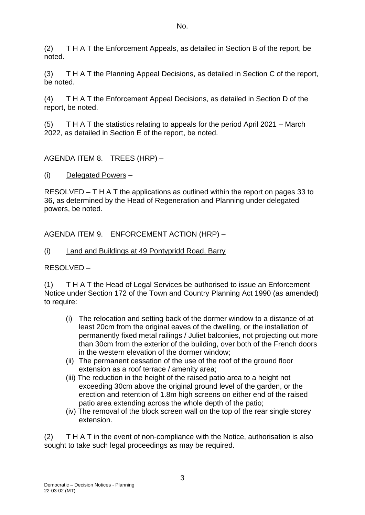(2) T H A T the Enforcement Appeals, as detailed in Section B of the report, be noted.

(3) T H A T the Planning Appeal Decisions, as detailed in Section C of the report, be noted.

(4) T H A T the Enforcement Appeal Decisions, as detailed in Section D of the report, be noted.

(5) T H A T the statistics relating to appeals for the period April 2021 – March 2022, as detailed in Section E of the report, be noted.

AGENDA ITEM 8. TREES (HRP) –

(i) Delegated Powers –

RESOLVED – T H A T the applications as outlined within the report on pages 33 to 36, as determined by the Head of Regeneration and Planning under delegated powers, be noted.

AGENDA ITEM 9. ENFORCEMENT ACTION (HRP) –

(i) Land and Buildings at 49 Pontypridd Road, Barry

RESOLVED –

(1) T H A T the Head of Legal Services be authorised to issue an Enforcement Notice under Section 172 of the Town and Country Planning Act 1990 (as amended) to require:

- (i) The relocation and setting back of the dormer window to a distance of at least 20cm from the original eaves of the dwelling, or the installation of permanently fixed metal railings / Juliet balconies, not projecting out more than 30cm from the exterior of the building, over both of the French doors in the western elevation of the dormer window;
- (ii) The permanent cessation of the use of the roof of the ground floor extension as a roof terrace / amenity area;
- (iii) The reduction in the height of the raised patio area to a height not exceeding 30cm above the original ground level of the garden, or the erection and retention of 1.8m high screens on either end of the raised patio area extending across the whole depth of the patio;
- (iv) The removal of the block screen wall on the top of the rear single storey extension.

(2) T H A T in the event of non-compliance with the Notice, authorisation is also sought to take such legal proceedings as may be required.

3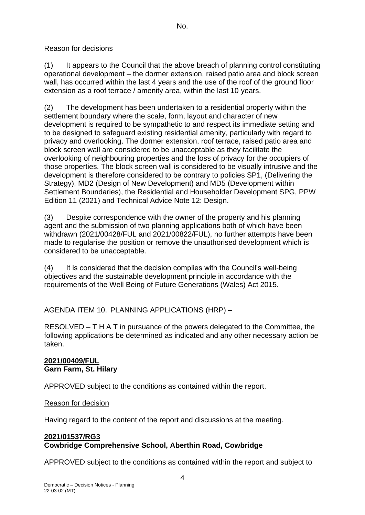# Reason for decisions

(1) It appears to the Council that the above breach of planning control constituting operational development – the dormer extension, raised patio area and block screen wall, has occurred within the last 4 years and the use of the roof of the ground floor extension as a roof terrace / amenity area, within the last 10 years.

(2) The development has been undertaken to a residential property within the settlement boundary where the scale, form, layout and character of new development is required to be sympathetic to and respect its immediate setting and to be designed to safeguard existing residential amenity, particularly with regard to privacy and overlooking. The dormer extension, roof terrace, raised patio area and block screen wall are considered to be unacceptable as they facilitate the overlooking of neighbouring properties and the loss of privacy for the occupiers of those properties. The block screen wall is considered to be visually intrusive and the development is therefore considered to be contrary to policies SP1, (Delivering the Strategy), MD2 (Design of New Development) and MD5 (Development within Settlement Boundaries), the Residential and Householder Development SPG, PPW Edition 11 (2021) and Technical Advice Note 12: Design.

(3) Despite correspondence with the owner of the property and his planning agent and the submission of two planning applications both of which have been withdrawn (2021/00428/FUL and 2021/00822/FUL), no further attempts have been made to regularise the position or remove the unauthorised development which is considered to be unacceptable.

(4) It is considered that the decision complies with the Council's well-being objectives and the sustainable development principle in accordance with the requirements of the Well Being of Future Generations (Wales) Act 2015.

AGENDA ITEM 10. PLANNING APPLICATIONS (HRP) –

RESOLVED – T H A T in pursuance of the powers delegated to the Committee, the following applications be determined as indicated and any other necessary action be taken.

# **2021/00409/FUL Garn Farm, St. Hilary**

APPROVED subject to the conditions as contained within the report.

## Reason for decision

Having regard to the content of the report and discussions at the meeting.

#### **2021/01537/RG3 Cowbridge Comprehensive School, Aberthin Road, Cowbridge**

APPROVED subject to the conditions as contained within the report and subject to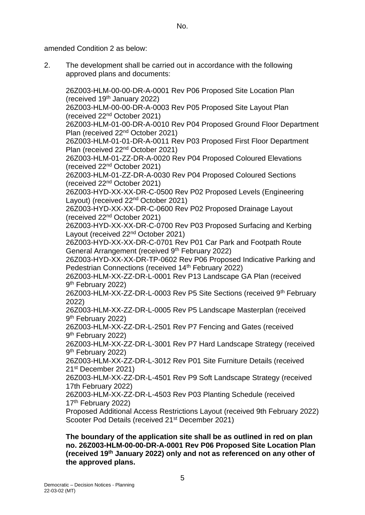No.

amended Condition 2 as below:

2. The development shall be carried out in accordance with the following approved plans and documents:

26Z003-HLM-00-00-DR-A-0001 Rev P06 Proposed Site Location Plan (received 19th January 2022) 26Z003-HLM-00-00-DR-A-0003 Rev P05 Proposed Site Layout Plan (received 22nd October 2021) 26Z003-HLM-01-00-DR-A-0010 Rev P04 Proposed Ground Floor Department Plan (received 22nd October 2021) 26Z003-HLM-01-01-DR-A-0011 Rev P03 Proposed First Floor Department Plan (received 22nd October 2021) 26Z003-HLM-01-ZZ-DR-A-0020 Rev P04 Proposed Coloured Elevations (received 22nd October 2021) 26Z003-HLM-01-ZZ-DR-A-0030 Rev P04 Proposed Coloured Sections (received 22nd October 2021) 26Z003-HYD-XX-XX-DR-C-0500 Rev P02 Proposed Levels (Engineering Layout) (received 22nd October 2021) 26Z003-HYD-XX-XX-DR-C-0600 Rev P02 Proposed Drainage Layout (received 22nd October 2021) 26Z003-HYD-XX-XX-DR-C-0700 Rev P03 Proposed Surfacing and Kerbing Layout (received 22nd October 2021) 26Z003-HYD-XX-XX-DR-C-0701 Rev P01 Car Park and Footpath Route General Arrangement (received 9<sup>th</sup> February 2022) 26Z003-HYD-XX-XX-DR-TP-0602 Rev P06 Proposed Indicative Parking and Pedestrian Connections (received 14<sup>th</sup> February 2022) 26Z003-HLM-XX-ZZ-DR-L-0001 Rev P13 Landscape GA Plan (received 9<sup>th</sup> February 2022) 26Z003-HLM-XX-ZZ-DR-L-0003 Rev P5 Site Sections (received 9<sup>th</sup> February 2022) 26Z003-HLM-XX-ZZ-DR-L-0005 Rev P5 Landscape Masterplan (received 9<sup>th</sup> February 2022) 26Z003-HLM-XX-ZZ-DR-L-2501 Rev P7 Fencing and Gates (received 9<sup>th</sup> February 2022) 26Z003-HLM-XX-ZZ-DR-L-3001 Rev P7 Hard Landscape Strategy (received 9<sup>th</sup> February 2022) 26Z003-HLM-XX-ZZ-DR-L-3012 Rev P01 Site Furniture Details (received 21st December 2021) 26Z003-HLM-XX-ZZ-DR-L-4501 Rev P9 Soft Landscape Strategy (received 17th February 2022) 26Z003-HLM-XX-ZZ-DR-L-4503 Rev P03 Planting Schedule (received 17th February 2022) Proposed Additional Access Restrictions Layout (received 9th February 2022) Scooter Pod Details (received 21<sup>st</sup> December 2021)

**The boundary of the application site shall be as outlined in red on plan no. 26Z003-HLM-00-00-DR-A-0001 Rev P06 Proposed Site Location Plan (received 19th January 2022) only and not as referenced on any other of the approved plans.**